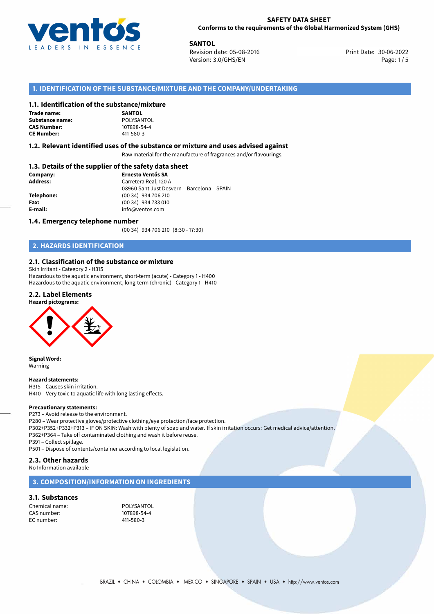

**SANTOL**<br>
Revision date: 05-08-2016 **Revision date: 05-08-2016** Print Date: 30-06-2022 Version: 3.0/GHS/EN Page: 1/5

# **1. IDENTIFICATION OF THE SUBSTANCE/MIXTURE AND THE COMPANY/UNDERTAKING**

### **1.1. Identification of the substance/mixture**

### **Trade name: Substance name:** POLYSANTO<br> **CAS Number:** 107898-54-4 **CAS Number:**



### **1.2. Relevant identified uses of the substance or mixture and uses advised against**

Raw material for the manufacture of fragrances and/or flavourings.

# **1.3. Details of the supplier of the safety data sheet**

| Company:        | <b>Ernesto Ventós SA</b>                    |  |
|-----------------|---------------------------------------------|--|
| <b>Address:</b> | Carretera Real, 120 A                       |  |
|                 | 08960 Sant Just Desvern - Barcelona - SPAIN |  |
| Telephone:      | (00 34) 934 706 210                         |  |
| Fax:            | (00 34) 934 733 010                         |  |
| E-mail:         | info@ventos.com                             |  |
|                 |                                             |  |

### **1.4. Emergency telephone number**

(00 34) 934 706 210 (8:30 - 17:30)

# **2. HAZARDS IDENTIFICATION**

### **2.1. Classification of the substance or mixture**

Skin Irritant - Category 2 - H315 Hazardous to the aquatic environment, short-term (acute) - Category 1 - H400 Hazardous to the aquatic environment, long-term (chronic) - Category 1 - H410

### **2.2. Label Elements**





**Signal Word:** Warning

### **Hazard statements:**

H315 – Causes skin irritation. H410 – Very toxic to aquatic life with long lasting effects.

# **Precautionary statements:**

P273 – Avoid release to the environment.

P280 – Wear protective gloves/protective clothing/eye protection/face protection.

P302+P352+P332+P313 – IF ON SKIN: Wash with plenty of soap and water. If skin irritation occurs: Get medical advice/attention. P362+P364 – Take off contaminated clothing and wash it before reuse.

P391 – Collect spillage.

P501 – Dispose of contents/container according to local legislation.

### **2.3. Other hazards**

No Information available

### **3. COMPOSITION/INFORMATION ON INGREDIENTS**

### **3.1. Substances**

Chemical name: POLYSANTOL<br>
CAS number: 107898-54-4 CAS number: EC number: 411-580-3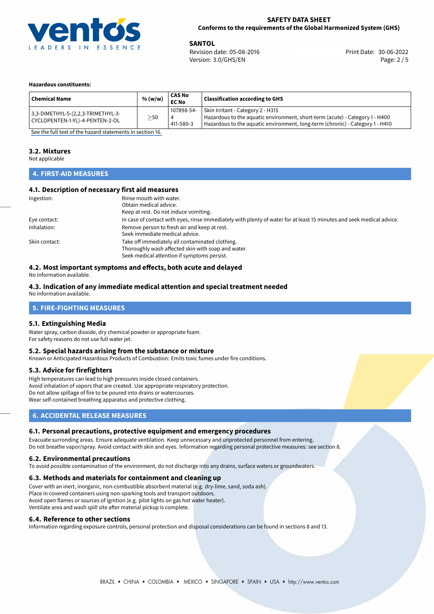

**SANTOL**<br>
Revision date: 05-08-2016 **Print Date: 30-06-2022** Version: 3.0/GHS/EN Page: 2 / 5

### **Hazardous constituents:**

| <b>Chemical Name</b>                                                  | % (w/w)   | <b>CAS No</b><br><b>EC No</b> | <b>Classification according to GHS</b>                                                                                                                                                             |
|-----------------------------------------------------------------------|-----------|-------------------------------|----------------------------------------------------------------------------------------------------------------------------------------------------------------------------------------------------|
| 3,3-DIMETHYL-5-(2,2,3-TRIMETHYL-3-<br>CYCLOPENTEN-1-YL)-4-PENTEN-2-OL | $\geq$ 50 | 107898-54-<br>411-580-3       | Skin Irritant - Category 2 - H315<br>Hazardous to the aquatic environment, short-term (acute) - Category 1 - H400<br>Hazardous to the aquatic environment, long-term (chronic) - Category 1 - H410 |

[See the full text of the hazard statements in section 16.](#page-4-0)

### **3.2. Mixtures**

Not applicable

# **4. FIRST-AID MEASURES**

## **4.1. Description of necessary first aid measures**

| Ingestion:    | Rinse mouth with water.                                                                                               |
|---------------|-----------------------------------------------------------------------------------------------------------------------|
|               | Obtain medical advice.                                                                                                |
|               | Keep at rest. Do not induce vomiting.                                                                                 |
| Eye contact:  | In case of contact with eyes, rinse immediately with plenty of water for at least 15 minutes and seek medical advice. |
| Inhalation:   | Remove person to fresh air and keep at rest.                                                                          |
|               | Seek immediate medical advice.                                                                                        |
| Skin contact: | Take off immediately all contaminated clothing.                                                                       |
|               | Thoroughly wash affected skin with soap and water.                                                                    |
|               | Seek medical attention if symptoms persist.                                                                           |

# **4.2. Most important symptoms and effects, both acute and delayed**

No information available.

### **4.3. Indication of any immediate medical attention and special treatment needed**

No information available.

### **5. FIRE-FIGHTING MEASURES**

### **5.1. Extinguishing Media**

Water spray, carbon dioxide, dry chemical powder or appropriate foam. For safety reasons do not use full water jet.

### **5.2. Special hazards arising from the substance or mixture**

Known or Anticipated Hazardous Products of Combustion: Emits toxic fumes under fire conditions.

### **5.3. Advice for firefighters**

High temperatures can lead to high pressures inside closed containers. Avoid inhalation of vapors that are created. Use appropriate respiratory protection. Do not allow spillage of fire to be poured into drains or watercourses. Wear self-contained breathing apparatus and protective clothing.

# **6. ACCIDENTAL RELEASE MEASURES**

### **6.1. Personal precautions, protective equipment and emergency procedures**

Evacuate surronding areas. Ensure adequate ventilation. Keep unnecessary and unprotected personnel from entering. Do not breathe vapor/spray. Avoid contact with skin and eyes. Information regarding personal protective measures: see section 8.

### **6.2. Environmental precautions**

To avoid possible contamination of the environment, do not discharge into any drains, surface waters or groundwaters.

### **6.3. Methods and materials for containment and cleaning up**

Cover with an inert, inorganic, non-combustible absorbent material (e.g. dry-lime, sand, soda ash). Place in covered containers using non-sparking tools and transport outdoors. Avoid open flames or sources of ignition (e.g. pilot lights on gas hot water heater). Ventilate area and wash spill site after material pickup is complete.

### **6.4. Reference to other sections**

Information regarding exposure controls, personal protection and disposal considerations can be found in sections 8 and 13.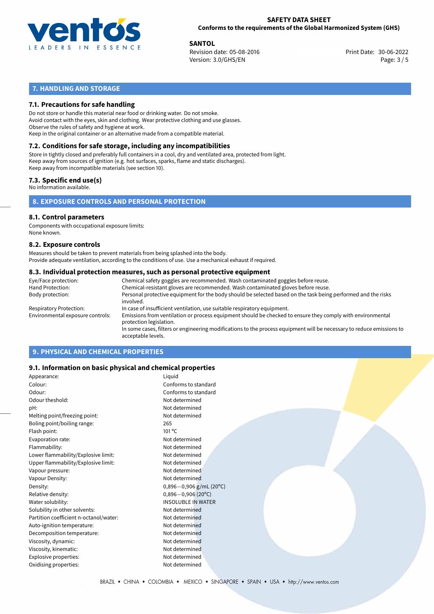

**SANTOL**<br>
Revision date: 05-08-2016 **Print Date: 30-06-2022** Version: 3.0/GHS/EN Page: 3 / 5

# **7. HANDLING AND STORAGE**

# **7.1. Precautions for safe handling**

Do not store or handle this material near food or drinking water. Do not smoke. Avoid contact with the eyes, skin and clothing. Wear protective clothing and use glasses. Observe the rules of safety and hygiene at work. Keep in the original container or an alternative made from a compatible material.

# **7.2. Conditions for safe storage, including any incompatibilities**

Store in tightly closed and preferably full containers in a cool, dry and ventilated area, protected from light. Keep away from sources of ignition (e.g. hot surfaces, sparks, flame and static discharges). Keep away from incompatible materials (see section 10).

## **7.3. Specific end use(s)**

No information available.

**8. EXPOSURE CONTROLS AND PERSONAL PROTECTION**

# **8.1. Control parameters**

Components with occupational exposure limits: None known.

### **8.2. Exposure controls**

Measures should be taken to prevent materials from being splashed into the body. Provide adequate ventilation, according to the conditions of use. Use a mechanical exhaust if required.

### **8.3. Individual protection measures, such as personal protective equipment**

| Eye/Face protection:             | Chemical safety goggles are recommended. Wash contaminated goggles before reuse.                                                            |
|----------------------------------|---------------------------------------------------------------------------------------------------------------------------------------------|
| Hand Protection:                 | Chemical-resistant gloves are recommended. Wash contaminated gloves before reuse.                                                           |
| Body protection:                 | Personal protective equipment for the body should be selected based on the task being performed and the risks<br>involved.                  |
| Respiratory Protection:          | In case of insufficient ventilation, use suitable respiratory equipment.                                                                    |
| Environmental exposure controls: | Emissions from ventilation or process equipment should be checked to ensure they comply with environmental<br>protection legislation.       |
|                                  | In some cases, filters or engineering modifications to the process equipment will be necessary to reduce emissions to<br>acceptable levels. |
|                                  |                                                                                                                                             |

# **9. PHYSICAL AND CHEMICAL PROPERTIES**

### **9.1. Information on basic physical and chemical properties**

| Appearance:                            | Liquid                      |
|----------------------------------------|-----------------------------|
| Colour:                                | Conforms to standard        |
| Odour:                                 | Conforms to standard        |
| Odour theshold:                        | Not determined              |
| pH:                                    | Not determined              |
| Melting point/freezing point:          | Not determined              |
| Boling point/boiling range:            | 265                         |
| Flash point:                           | 101 °C                      |
| Evaporation rate:                      | Not determined              |
| Flammability:                          | Not determined              |
| Lower flammability/Explosive limit:    | Not determined              |
| Upper flammability/Explosive limit:    | Not determined              |
| Vapour pressure:                       | Not determined              |
| Vapour Density:                        | Not determined              |
| Density:                               | $0,896 - 0,906$ g/mL (20°C) |
| Relative density:                      | $0,896 - 0,906$ (20°C)      |
| Water solubility:                      | <b>INSOLUBLE IN WATER</b>   |
| Solubility in other solvents:          | Not determined              |
| Partition coefficient n-octanol/water: | Not determined              |
| Auto-ignition temperature:             | Not determined              |
| Decomposition temperature:             | Not determined              |
| Viscosity, dynamic:                    | Not determined              |
| Viscosity, kinematic:                  | Not determined              |
| Explosive properties:                  | Not determined              |
| Oxidising properties:                  | Not determined              |
|                                        |                             |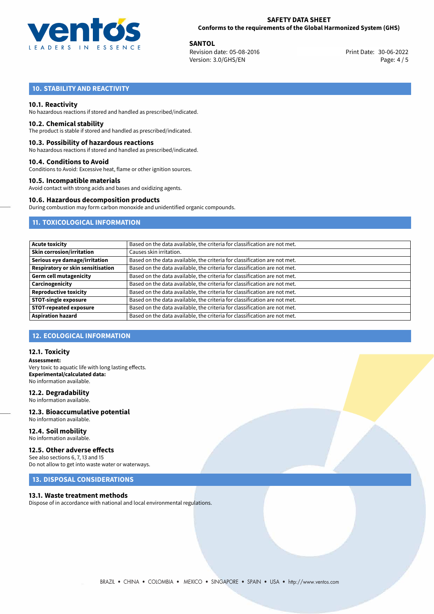

**SANTOL**<br>
Revision date: 05-08-2016 **Print Date: 30-06-2022** Version: 3.0/GHS/EN Page: 4 / 5

# **10. STABILITY AND REACTIVITY**

### **10.1. Reactivity**

No hazardous reactions if stored and handled as prescribed/indicated.

### **10.2. Chemical stability**

The product is stable if stored and handled as prescribed/indicated.

### **10.3. Possibility of hazardous reactions**

No hazardous reactions if stored and handled as prescribed/indicated.

### **10.4. Conditions to Avoid**

Conditions to Avoid: Excessive heat, flame or other ignition sources.

### **10.5. Incompatible materials**

Avoid contact with strong acids and bases and oxidizing agents.

### **10.6. Hazardous decomposition products**

During combustion may form carbon monoxide and unidentified organic compounds.

# **11. TOXICOLOGICAL INFORMATION**

| <b>Acute toxicity</b>             | Based on the data available, the criteria for classification are not met. |
|-----------------------------------|---------------------------------------------------------------------------|
| <b>Skin corrosion/irritation</b>  | Causes skin irritation.                                                   |
| Serious eye damage/irritation     | Based on the data available, the criteria for classification are not met. |
| Respiratory or skin sensitisation | Based on the data available, the criteria for classification are not met. |
| <b>Germ cell mutagenicity</b>     | Based on the data available, the criteria for classification are not met. |
| Carcinogenicity                   | Based on the data available, the criteria for classification are not met. |
| <b>Reproductive toxicity</b>      | Based on the data available, the criteria for classification are not met. |
| <b>STOT-single exposure</b>       | Based on the data available, the criteria for classification are not met. |
| <b>STOT-repeated exposure</b>     | Based on the data available, the criteria for classification are not met. |
| <b>Aspiration hazard</b>          | Based on the data available, the criteria for classification are not met. |

### **12. ECOLOGICAL INFORMATION**

### **12.1. Toxicity**

**Assessment:** Very toxic to aquatic life with long lasting effects. **Experimental/calculated data:** No information available.

### **12.2. Degradability**

No information available.

### **12.3. Bioaccumulative potential** No information available.

**12.4. Soil mobility** No information available.

# **12.5. Other adverse effects**

See also sections 6, 7, 13 and 15 Do not allow to get into waste water or waterways.

# **13. DISPOSAL CONSIDERATIONS**

### **13.1. Waste treatment methods**

Dispose of in accordance with national and local environmental regulations.